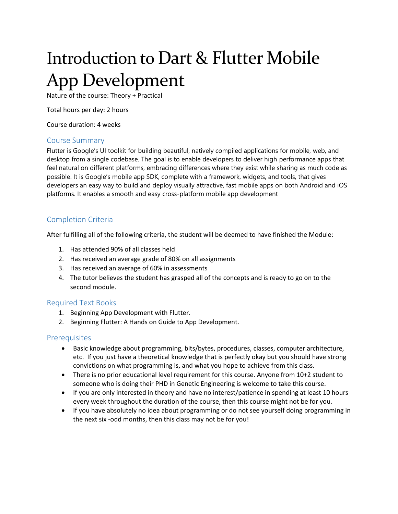# Introduction to Dart & Flutter Mobile App Development

Nature of the course: Theory + Practical

Total hours per day: 2 hours

Course duration: 4 weeks

#### Course Summary

Flutter is Google's UI toolkit for building beautiful, natively compiled applications for mobile, web, and desktop from a single codebase. The goal is to enable developers to deliver high performance apps that feel natural on different platforms, embracing differences where they exist while sharing as much code as possible. It is Google's mobile app SDK, complete with a framework, widgets, and tools, that gives developers an easy way to build and deploy visually attractive, fast mobile apps on both Android and iOS platforms. It enables a smooth and easy cross-platform mobile app development

# Completion Criteria

After fulfilling all of the following criteria, the student will be deemed to have finished the Module:

- 1. Has attended 90% of all classes held
- 2. Has received an average grade of 80% on all assignments
- 3. Has received an average of 60% in assessments
- 4. The tutor believes the student has grasped all of the concepts and is ready to go on to the second module.

### Required Text Books

- 1. Beginning App Development with Flutter.
- 2. Beginning Flutter: A Hands on Guide to App Development.

### **Prerequisites**

- Basic knowledge about programming, bits/bytes, procedures, classes, computer architecture, etc. If you just have a theoretical knowledge that is perfectly okay but you should have strong convictions on what programming is, and what you hope to achieve from this class.
- There is no prior educational level requirement for this course. Anyone from 10+2 student to someone who is doing their PHD in Genetic Engineering is welcome to take this course.
- If you are only interested in theory and have no interest/patience in spending at least 10 hours every week throughout the duration of the course, then this course might not be for you.
- If you have absolutely no idea about programming or do not see yourself doing programming in the next six -odd months, then this class may not be for you!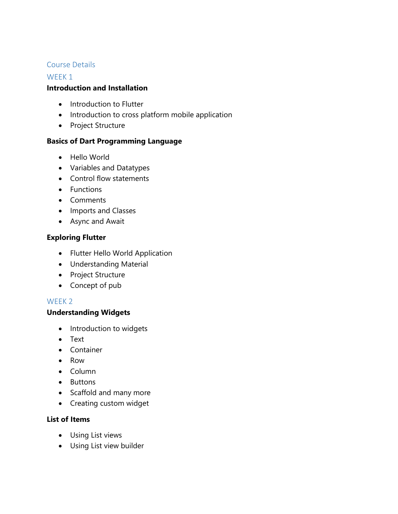## Course Details

### WEEK<sub>1</sub>

## **Introduction and Installation**

- Introduction to Flutter
- Introduction to cross platform mobile application
- Project Structure

# **Basics of Dart Programming Language**

- Hello World
- Variables and Datatypes
- Control flow statements
- Functions
- Comments
- Imports and Classes
- Async and Await

# **Exploring Flutter**

- Flutter Hello World Application
- Understanding Material
- Project Structure
- Concept of pub

### WEEK 2

# **Understanding Widgets**

- Introduction to widgets
- Text
- Container
- Row
- Column
- Buttons
- Scaffold and many more
- Creating custom widget

### **List of Items**

- Using List views
- Using List view builder